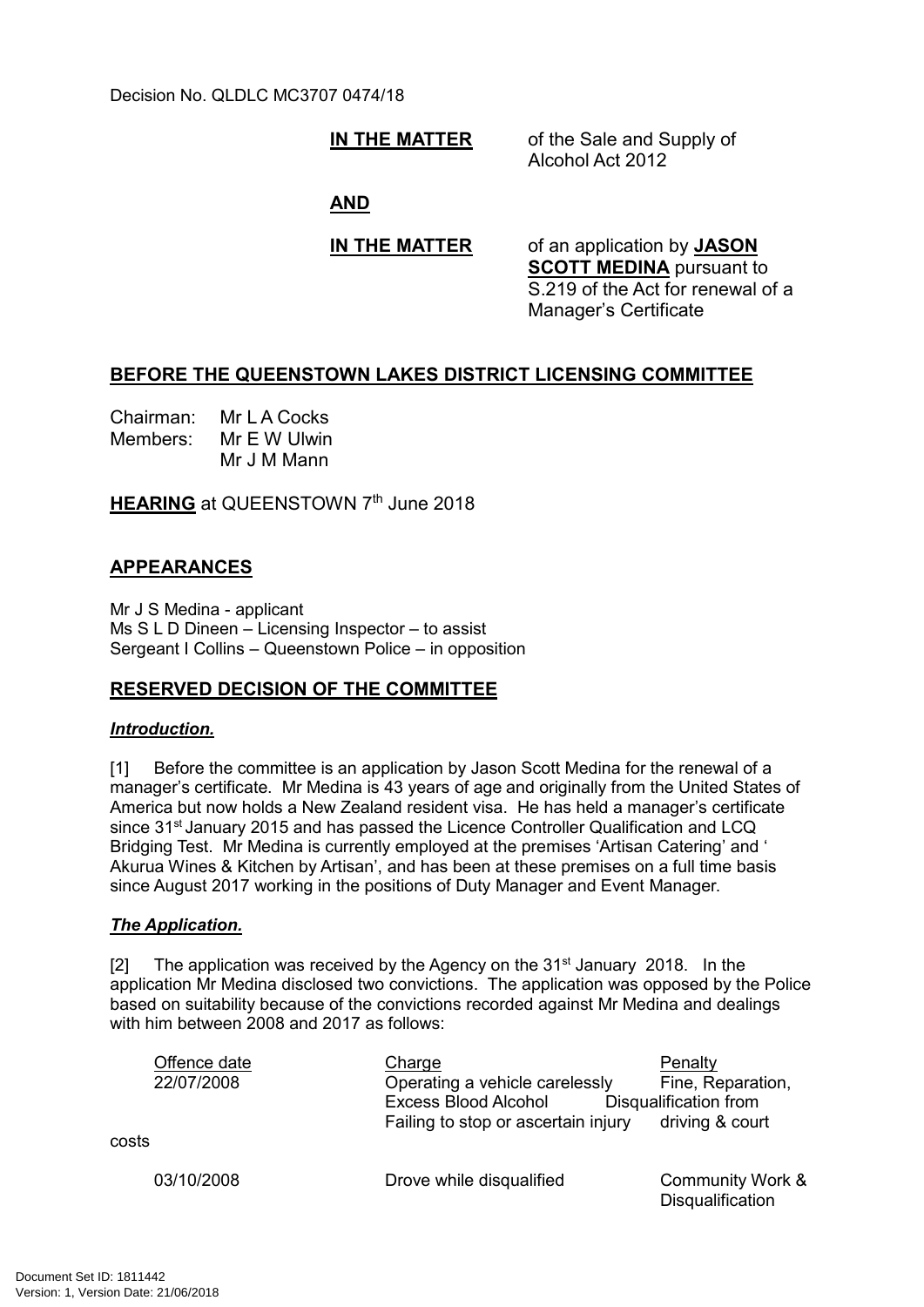Decision No. QLDLC MC3707 0474/18

**IN THE MATTER** of the Sale and Supply of Alcohol Act 2012

**AND**

**IN THE MATTER** of an application by **JASON SCOTT MEDINA** pursuant to S.219 of the Act for renewal of a Manager's Certificate

# **BEFORE THE QUEENSTOWN LAKES DISTRICT LICENSING COMMITTEE**

Chairman: Mr L A Cocks Members: Mr E W Ulwin Mr J M Mann

**<u>HEARING</u>** at QUEENSTOWN 7<sup>th</sup> June 2018

# **APPEARANCES**

Mr J S Medina - applicant Ms S L D Dineen – Licensing Inspector – to assist Sergeant I Collins – Queenstown Police – in opposition

## **RESERVED DECISION OF THE COMMITTEE**

### *Introduction.*

[1] Before the committee is an application by Jason Scott Medina for the renewal of a manager's certificate. Mr Medina is 43 years of age and originally from the United States of America but now holds a New Zealand resident visa. He has held a manager's certificate since 31<sup>st</sup> January 2015 and has passed the Licence Controller Qualification and LCQ Bridging Test. Mr Medina is currently employed at the premises 'Artisan Catering' and ' Akurua Wines & Kitchen by Artisan', and has been at these premises on a full time basis since August 2017 working in the positions of Duty Manager and Event Manager.

### *The Application.*

[2] The application was received by the Agency on the  $31<sup>st</sup>$  January 2018. In the application Mr Medina disclosed two convictions. The application was opposed by the Police based on suitability because of the convictions recorded against Mr Medina and dealings with him between 2008 and 2017 as follows:

| Offence date | Charge                              | Penalty                                                |
|--------------|-------------------------------------|--------------------------------------------------------|
| 22/07/2008   | Operating a vehicle carelessly      | Fine, Reparation,                                      |
|              | <b>Excess Blood Alcohol</b>         | Disqualification from                                  |
|              | Failing to stop or ascertain injury | driving & court                                        |
| costs        |                                     |                                                        |
| 03/10/2008   | Drove while disqualified            | <b>Community Work &amp;</b><br><b>Disqualification</b> |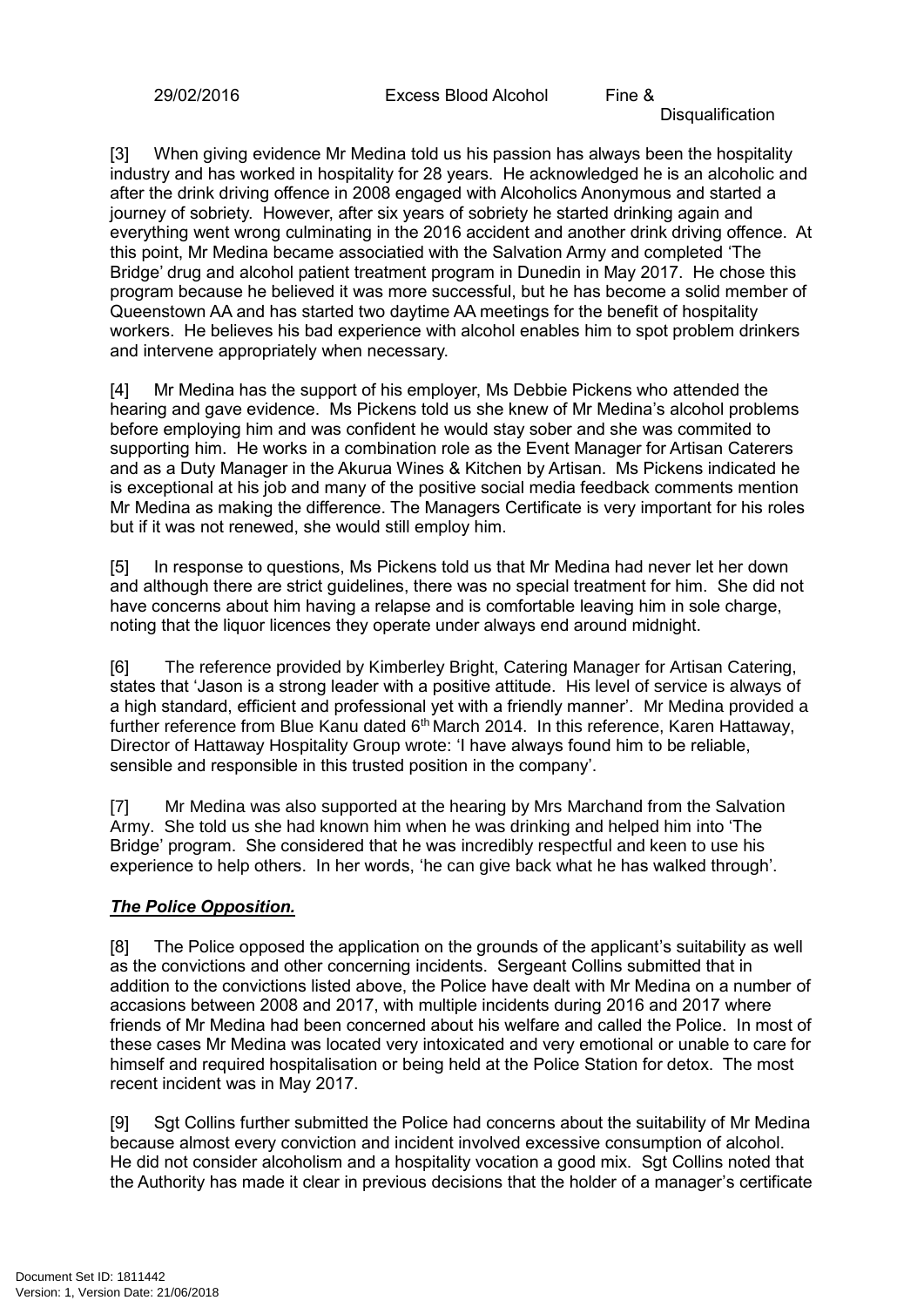29/02/2016 Excess Blood Alcohol Fine &

#### **Disqualification**

[3] When giving evidence Mr Medina told us his passion has always been the hospitality industry and has worked in hospitality for 28 years. He acknowledged he is an alcoholic and after the drink driving offence in 2008 engaged with Alcoholics Anonymous and started a journey of sobriety. However, after six years of sobriety he started drinking again and everything went wrong culminating in the 2016 accident and another drink driving offence. At this point, Mr Medina became associatied with the Salvation Army and completed 'The Bridge' drug and alcohol patient treatment program in Dunedin in May 2017. He chose this program because he believed it was more successful, but he has become a solid member of Queenstown AA and has started two daytime AA meetings for the benefit of hospitality workers. He believes his bad experience with alcohol enables him to spot problem drinkers and intervene appropriately when necessary.

[4] Mr Medina has the support of his employer, Ms Debbie Pickens who attended the hearing and gave evidence. Ms Pickens told us she knew of Mr Medina's alcohol problems before employing him and was confident he would stay sober and she was commited to supporting him. He works in a combination role as the Event Manager for Artisan Caterers and as a Duty Manager in the Akurua Wines & Kitchen by Artisan. Ms Pickens indicated he is exceptional at his job and many of the positive social media feedback comments mention Mr Medina as making the difference. The Managers Certificate is very important for his roles but if it was not renewed, she would still employ him.

[5] In response to questions, Ms Pickens told us that Mr Medina had never let her down and although there are strict guidelines, there was no special treatment for him. She did not have concerns about him having a relapse and is comfortable leaving him in sole charge, noting that the liquor licences they operate under always end around midnight.

[6] The reference provided by Kimberley Bright, Catering Manager for Artisan Catering, states that 'Jason is a strong leader with a positive attitude. His level of service is always of a high standard, efficient and professional yet with a friendly manner'. Mr Medina provided a further reference from Blue Kanu dated 6<sup>th</sup> March 2014. In this reference, Karen Hattaway, Director of Hattaway Hospitality Group wrote: 'I have always found him to be reliable, sensible and responsible in this trusted position in the company'.

[7] Mr Medina was also supported at the hearing by Mrs Marchand from the Salvation Army. She told us she had known him when he was drinking and helped him into 'The Bridge' program. She considered that he was incredibly respectful and keen to use his experience to help others. In her words, 'he can give back what he has walked through'.

## *The Police Opposition.*

[8] The Police opposed the application on the grounds of the applicant's suitability as well as the convictions and other concerning incidents. Sergeant Collins submitted that in addition to the convictions listed above, the Police have dealt with Mr Medina on a number of accasions between 2008 and 2017, with multiple incidents during 2016 and 2017 where friends of Mr Medina had been concerned about his welfare and called the Police. In most of these cases Mr Medina was located very intoxicated and very emotional or unable to care for himself and required hospitalisation or being held at the Police Station for detox. The most recent incident was in May 2017.

[9] Sgt Collins further submitted the Police had concerns about the suitability of Mr Medina because almost every conviction and incident involved excessive consumption of alcohol. He did not consider alcoholism and a hospitality vocation a good mix. Sgt Collins noted that the Authority has made it clear in previous decisions that the holder of a manager's certificate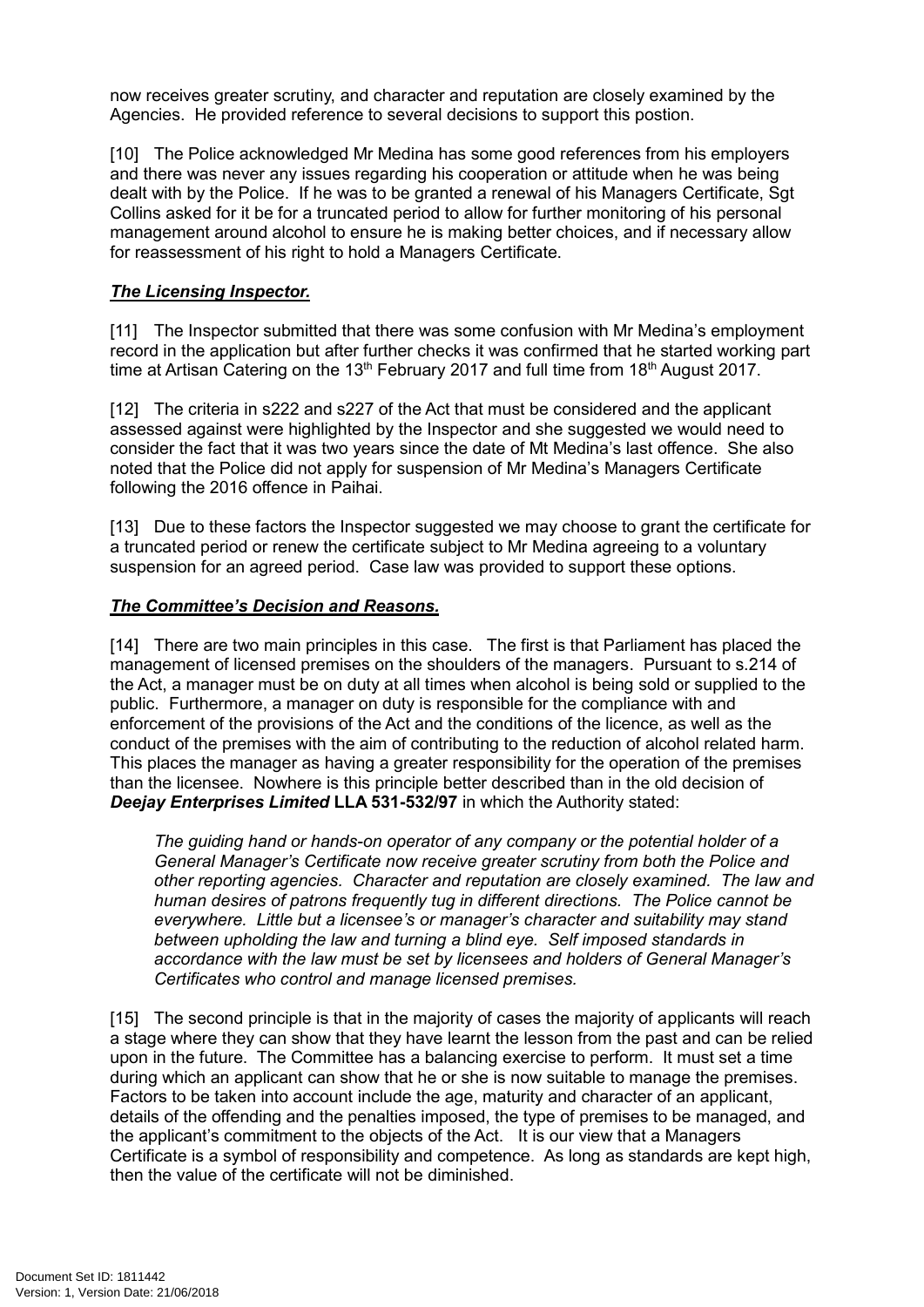now receives greater scrutiny, and character and reputation are closely examined by the Agencies. He provided reference to several decisions to support this postion.

[10] The Police acknowledged Mr Medina has some good references from his employers and there was never any issues regarding his cooperation or attitude when he was being dealt with by the Police. If he was to be granted a renewal of his Managers Certificate, Sgt Collins asked for it be for a truncated period to allow for further monitoring of his personal management around alcohol to ensure he is making better choices, and if necessary allow for reassessment of his right to hold a Managers Certificate.

## *The Licensing Inspector.*

[11] The Inspector submitted that there was some confusion with Mr Medina's employment record in the application but after further checks it was confirmed that he started working part time at Artisan Catering on the 13<sup>th</sup> February 2017 and full time from 18<sup>th</sup> August 2017.

[12] The criteria in s222 and s227 of the Act that must be considered and the applicant assessed against were highlighted by the Inspector and she suggested we would need to consider the fact that it was two years since the date of Mt Medina's last offence. She also noted that the Police did not apply for suspension of Mr Medina's Managers Certificate following the 2016 offence in Paihai.

[13] Due to these factors the Inspector suggested we may choose to grant the certificate for a truncated period or renew the certificate subject to Mr Medina agreeing to a voluntary suspension for an agreed period. Case law was provided to support these options.

## *The Committee's Decision and Reasons.*

[14] There are two main principles in this case. The first is that Parliament has placed the management of licensed premises on the shoulders of the managers. Pursuant to s.214 of the Act, a manager must be on duty at all times when alcohol is being sold or supplied to the public. Furthermore, a manager on duty is responsible for the compliance with and enforcement of the provisions of the Act and the conditions of the licence, as well as the conduct of the premises with the aim of contributing to the reduction of alcohol related harm. This places the manager as having a greater responsibility for the operation of the premises than the licensee. Nowhere is this principle better described than in the old decision of *Deejay Enterprises Limited* **LLA 531-532/97** in which the Authority stated:

*The guiding hand or hands-on operator of any company or the potential holder of a General Manager's Certificate now receive greater scrutiny from both the Police and other reporting agencies. Character and reputation are closely examined. The law and human desires of patrons frequently tug in different directions. The Police cannot be everywhere. Little but a licensee's or manager's character and suitability may stand between upholding the law and turning a blind eye. Self imposed standards in accordance with the law must be set by licensees and holders of General Manager's Certificates who control and manage licensed premises.*

[15] The second principle is that in the majority of cases the majority of applicants will reach a stage where they can show that they have learnt the lesson from the past and can be relied upon in the future. The Committee has a balancing exercise to perform. It must set a time during which an applicant can show that he or she is now suitable to manage the premises. Factors to be taken into account include the age, maturity and character of an applicant, details of the offending and the penalties imposed, the type of premises to be managed, and the applicant's commitment to the objects of the Act. It is our view that a Managers Certificate is a symbol of responsibility and competence. As long as standards are kept high, then the value of the certificate will not be diminished.